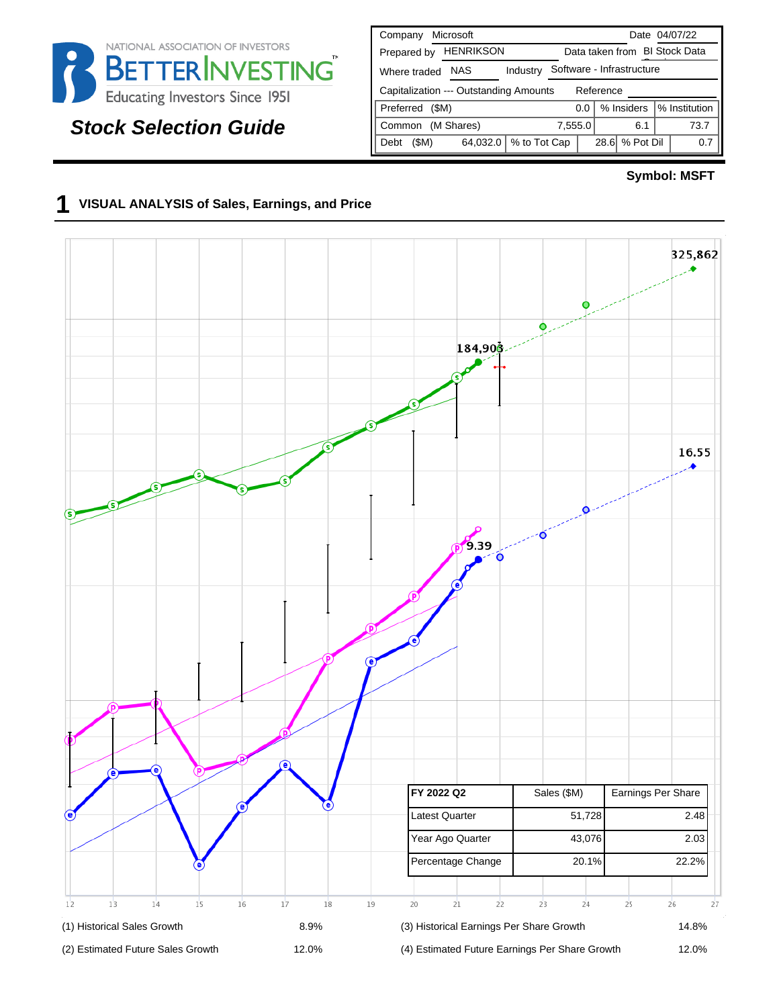

# **Stock Selection Guide**

| Microsoft<br>Company                     | Date 04/07/22                      |  |  |  |  |  |  |  |
|------------------------------------------|------------------------------------|--|--|--|--|--|--|--|
| <b>HENRIKSON</b><br>Prepared by          | Data taken from BI Stock Data      |  |  |  |  |  |  |  |
| NAS<br>Industry<br>Where traded          | Software - Infrastructure          |  |  |  |  |  |  |  |
| Capitalization --- Outstanding Amounts   | Reference                          |  |  |  |  |  |  |  |
| Preferred<br>(SM)                        | % Institution<br>% Insiders<br>0.0 |  |  |  |  |  |  |  |
| (M Shares)<br>Common                     | 73.7<br>7,555.0<br>6.1             |  |  |  |  |  |  |  |
| % to Tot Cap<br>64,032.0<br>(SM)<br>Debt | % Pot Dil<br>28.6<br>0.7           |  |  |  |  |  |  |  |

#### **Symbol: MSFT**

#### **1 VISUAL ANALYSIS of Sales, Earnings, and Price**

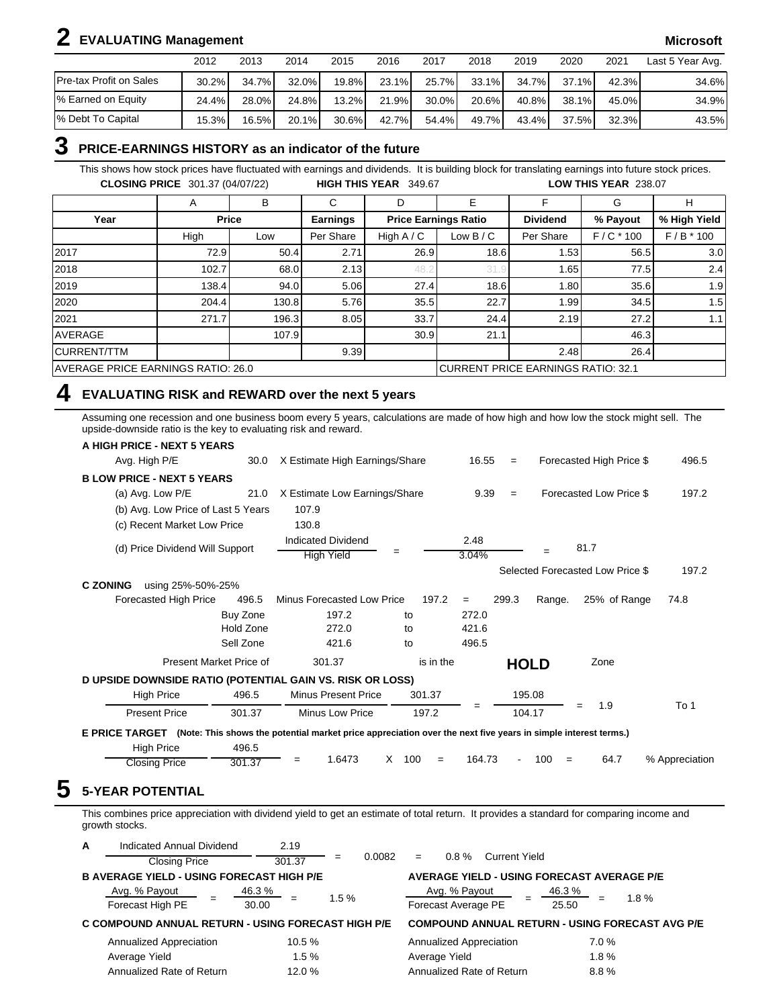# *<u>EVALUATING Management</u>*

|  | <b>Microsoft</b> |
|--|------------------|
|--|------------------|

|                                | 2012     | 2013     | 2014     | 2015     | 2016     | 2017     | 2018     | 2019     | 2020  | 2021  | Last 5 Year Avg. |
|--------------------------------|----------|----------|----------|----------|----------|----------|----------|----------|-------|-------|------------------|
| <b>Pre-tax Profit on Sales</b> | 30.2%    | $34.7\%$ | $32.0\%$ | 19.8%    | $23.1\%$ | 25.7%    | $33.1\%$ | $34.7\%$ | 37.1% | 42.3% | 34.6%            |
| % Earned on Equity             | 24.4%    | 28.0%    | 24.8%    | $13.2\%$ | 21.9%    | $30.0\%$ | $20.6\%$ | $40.8\%$ | 38.1% | 45.0% | 34.9%            |
| % Debt To Capital              | $15.3\%$ | 16.5% l  | $20.1\%$ | $30.6\%$ | 42.7%    | 54.4%    | 49.7%    | 43.4%    | 37.5% | 32.3% | 43.5%            |

#### **3 PRICE-EARNINGS HISTORY as an indicator of the future**

This shows how stock prices have fluctuated with earnings and dividends. It is building block for translating earnings into future stock prices. **CLOSING PRICE** 301.37 (04/07/22) **HIGH THIS YEAR** 349.67 **LOW THIS YEAR** 238.07

|                                    | A              | B     | С                                              | D            | E                                         | F                | G           | н            |
|------------------------------------|----------------|-------|------------------------------------------------|--------------|-------------------------------------------|------------------|-------------|--------------|
| Year                               |                | Price | <b>Price Earnings Ratio</b><br><b>Earnings</b> |              |                                           | <b>Dividend</b>  | % Payout    | % High Yield |
|                                    | High           | Low   | Per Share                                      | High $A / C$ | Low $B/C$                                 | Per Share        | $F/C * 100$ | $F/B * 100$  |
| 2017                               | 72.9           | 50.4  | 2.71                                           | 26.9         | 18.6                                      | .53              | 56.5        | 3.0          |
| 2018                               | 102.7          | 68.0  | 2.13                                           | 48.2         | 31.9                                      | 1.651            | 77.5        | 2.4          |
| 2019                               | 138.4          | 94.0  | 5.06                                           | 27.4         | 18.6                                      | .80 <sub>1</sub> | 35.6        | 1.9          |
| 2020                               | 204.4<br>130.8 |       | 5.76                                           | 35.5         | 22.7                                      | .99 <sub>1</sub> | 34.5        | 1.5          |
| 2021                               | 271.7<br>196.3 |       | 8.05                                           | 33.7         | 24.4                                      | 2.19             | 27.2        | 1.1          |
| AVERAGE                            |                | 107.9 |                                                | 30.9         | 21.1                                      |                  | 46.3        |              |
| <b>CURRENT/TTM</b>                 |                |       | 9.39                                           |              |                                           | 2.48             | 26.4        |              |
| AVERAGE PRICE EARNINGS RATIO: 26.0 |                |       |                                                |              | <b>CURRENT PRICE EARNINGS RATIO: 32.1</b> |                  |             |              |

## **4 EVALUATING RISK and REWARD over the next 5 years**

Assuming one recession and one business boom every 5 years, calculations are made of how high and how low the stock might sell. The upside-downside ratio is the key to evaluating risk and reward.

| A HIGH PRICE - NEXT 5 YEARS                                                                                                  |           |                                                |           |               |                          |             |                                  |                |
|------------------------------------------------------------------------------------------------------------------------------|-----------|------------------------------------------------|-----------|---------------|--------------------------|-------------|----------------------------------|----------------|
| Avg. High P/E                                                                                                                | 30.0      | X Estimate High Earnings/Share                 |           | 16.55         | $=$                      |             | Forecasted High Price \$         | 496.5          |
| <b>BLOW PRICE - NEXT 5 YEARS</b>                                                                                             |           |                                                |           |               |                          |             |                                  |                |
| (a) Avg. Low P/E                                                                                                             | 21.0      | X Estimate Low Earnings/Share                  |           | 9.39          | $\qquad \qquad =$        |             | Forecasted Low Price \$          | 197.2          |
| (b) Avg. Low Price of Last 5 Years                                                                                           |           | 107.9                                          |           |               |                          |             |                                  |                |
| (c) Recent Market Low Price                                                                                                  |           | 130.8                                          |           |               |                          |             |                                  |                |
| (d) Price Dividend Will Support                                                                                              |           | <b>Indicated Dividend</b><br><b>High Yield</b> | $=$       | 2.48<br>3.04% |                          | $=$         | 81.7                             |                |
|                                                                                                                              |           |                                                |           |               |                          |             | Selected Forecasted Low Price \$ | 197.2          |
| <b>C ZONING</b><br>using 25%-50%-25%                                                                                         |           |                                                |           |               |                          |             |                                  |                |
| Forecasted High Price                                                                                                        | 496.5     | <b>Minus Forecasted Low Price</b>              | 197.2     | $=$           | 299.3                    | Range.      | 25% of Range                     | 74.8           |
|                                                                                                                              | Buy Zone  | 197.2                                          | to        | 272.0         |                          |             |                                  |                |
|                                                                                                                              | Hold Zone | 272.0                                          | to        | 421.6         |                          |             |                                  |                |
|                                                                                                                              | Sell Zone | 421.6                                          | to        | 496.5         |                          |             |                                  |                |
| Present Market Price of                                                                                                      |           | 301.37                                         | is in the |               |                          | <b>HOLD</b> | Zone                             |                |
| D UPSIDE DOWNSIDE RATIO (POTENTIAL GAIN VS. RISK OR LOSS)                                                                    |           |                                                |           |               |                          |             |                                  |                |
| <b>High Price</b>                                                                                                            | 496.5     | <b>Minus Present Price</b>                     | 301.37    |               |                          | 195.08      |                                  |                |
| <b>Present Price</b>                                                                                                         | 301.37    | Minus Low Price                                | 197.2     | $=$           |                          | 104.17      | 1.9<br>$=$                       | To 1           |
| E PRICE TARGET (Note: This shows the potential market price appreciation over the next five years in simple interest terms.) |           |                                                |           |               |                          |             |                                  |                |
| <b>High Price</b>                                                                                                            | 496.5     |                                                |           |               |                          |             |                                  |                |
| <b>Closing Price</b>                                                                                                         | 301.37    | 1.6473<br>$=$                                  | X<br>100  | 164.73<br>$=$ | $\overline{\phantom{0}}$ | 100<br>$=$  | 64.7                             | % Appreciation |

This combines price appreciation with dividend yield to get an estimate of total return. It provides a standard for comparing income and growth stocks.

| A | Indicated Annual Dividend                          | 2.19           |               |                                                   |                                                        |
|---|----------------------------------------------------|----------------|---------------|---------------------------------------------------|--------------------------------------------------------|
|   | <b>Closing Price</b>                               | 301.37         | 0.0082<br>$=$ | $0.8 \%$<br><b>Current Yield</b><br>$=$           |                                                        |
|   | <b>B AVERAGE YIELD - USING FORECAST HIGH P/E</b>   |                |               | <b>AVERAGE YIELD - USING FORECAST AVERAGE P/E</b> |                                                        |
|   | Avg. % Payout<br>$=$<br>Forecast High PE           | 46.3%<br>30.00 | 1.5%          | Avg. % Payout<br>Forecast Average PE              | $-46.3\%$<br>1.8%<br>$=$<br>25.50                      |
|   | C COMPOUND ANNUAL RETURN - USING FORECAST HIGH P/E |                |               |                                                   | <b>COMPOUND ANNUAL RETURN - USING FORECAST AVG P/E</b> |
|   | Annualized Appreciation                            | 10.5 %         |               | <b>Annualized Appreciation</b>                    | $7.0\%$                                                |
|   | Average Yield                                      | 1.5%           |               | Average Yield                                     | 1.8%                                                   |
|   | Annualized Rate of Return                          | 12.0 %         |               | Annualized Rate of Return                         | 8.8%                                                   |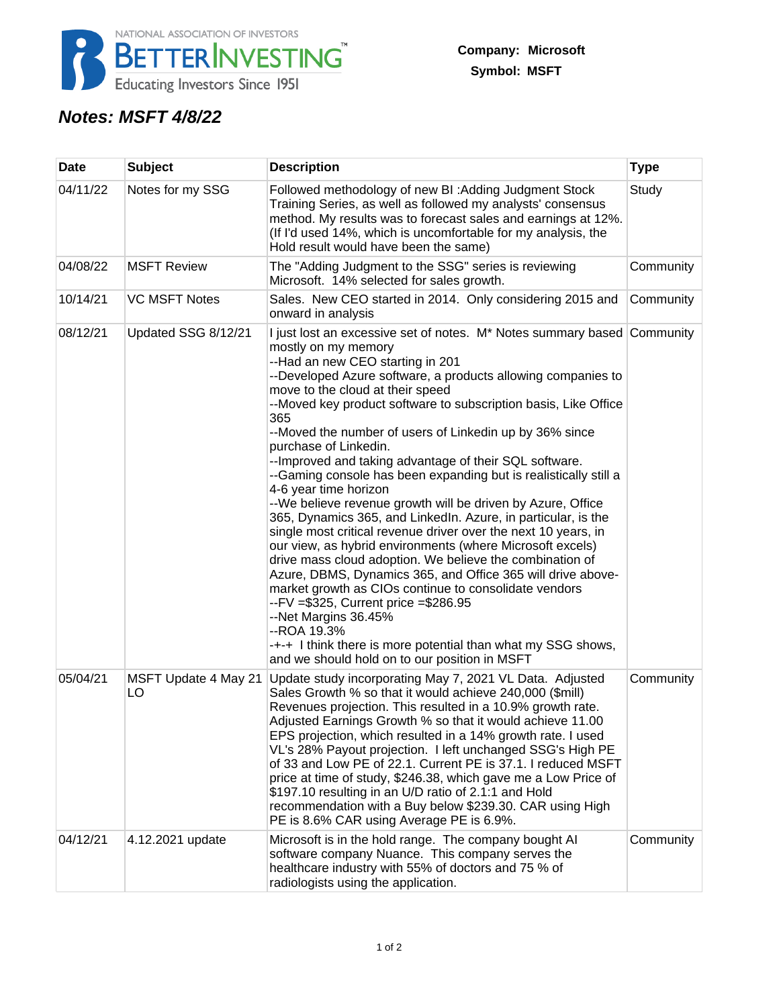

## **Notes: MSFT 4/8/22**

| Date     | <b>Subject</b>             | <b>Description</b>                                                                                                                                                                                                                                                                                                                                                                                                                                                                                                                                                                                                                                                                                                                                                                                                                                                                                                                                                                                                                                                                                                                                                                                                             | <b>Type</b> |
|----------|----------------------------|--------------------------------------------------------------------------------------------------------------------------------------------------------------------------------------------------------------------------------------------------------------------------------------------------------------------------------------------------------------------------------------------------------------------------------------------------------------------------------------------------------------------------------------------------------------------------------------------------------------------------------------------------------------------------------------------------------------------------------------------------------------------------------------------------------------------------------------------------------------------------------------------------------------------------------------------------------------------------------------------------------------------------------------------------------------------------------------------------------------------------------------------------------------------------------------------------------------------------------|-------------|
| 04/11/22 | Notes for my SSG           | Followed methodology of new BI: Adding Judgment Stock<br>Training Series, as well as followed my analysts' consensus<br>method. My results was to forecast sales and earnings at 12%.<br>(If I'd used 14%, which is uncomfortable for my analysis, the<br>Hold result would have been the same)                                                                                                                                                                                                                                                                                                                                                                                                                                                                                                                                                                                                                                                                                                                                                                                                                                                                                                                                | Study       |
| 04/08/22 | <b>MSFT Review</b>         | The "Adding Judgment to the SSG" series is reviewing<br>Microsoft. 14% selected for sales growth.                                                                                                                                                                                                                                                                                                                                                                                                                                                                                                                                                                                                                                                                                                                                                                                                                                                                                                                                                                                                                                                                                                                              | Community   |
| 10/14/21 | <b>VC MSFT Notes</b>       | Sales. New CEO started in 2014. Only considering 2015 and<br>onward in analysis                                                                                                                                                                                                                                                                                                                                                                                                                                                                                                                                                                                                                                                                                                                                                                                                                                                                                                                                                                                                                                                                                                                                                | Community   |
| 08/12/21 | Updated SSG 8/12/21        | I just lost an excessive set of notes. M <sup>*</sup> Notes summary based Community<br>mostly on my memory<br>--Had an new CEO starting in 201<br>--Developed Azure software, a products allowing companies to<br>move to the cloud at their speed<br>--Moved key product software to subscription basis, Like Office<br>365<br>--Moved the number of users of Linkedin up by 36% since<br>purchase of Linkedin.<br>--Improved and taking advantage of their SQL software.<br>--Gaming console has been expanding but is realistically still a<br>4-6 year time horizon<br>--We believe revenue growth will be driven by Azure, Office<br>365, Dynamics 365, and LinkedIn. Azure, in particular, is the<br>single most critical revenue driver over the next 10 years, in<br>our view, as hybrid environments (where Microsoft excels)<br>drive mass cloud adoption. We believe the combination of<br>Azure, DBMS, Dynamics 365, and Office 365 will drive above-<br>market growth as CIOs continue to consolidate vendors<br>$-FV = $325$ , Current price $= $286.95$<br>--Net Margins 36.45%<br>--ROA 19.3%<br>-+-+ I think there is more potential than what my SSG shows,<br>and we should hold on to our position in MSFT |             |
| 05/04/21 | MSFT Update 4 May 21<br>LO | Update study incorporating May 7, 2021 VL Data. Adjusted<br>Sales Growth % so that it would achieve 240,000 (\$mill)<br>Revenues projection. This resulted in a 10.9% growth rate.<br>Adjusted Earnings Growth % so that it would achieve 11.00<br>EPS projection, which resulted in a 14% growth rate. I used<br>VL's 28% Payout projection. I left unchanged SSG's High PE<br>of 33 and Low PE of 22.1. Current PE is 37.1. I reduced MSFT<br>price at time of study, \$246.38, which gave me a Low Price of<br>\$197.10 resulting in an U/D ratio of 2.1:1 and Hold<br>recommendation with a Buy below \$239.30. CAR using High<br>PE is 8.6% CAR using Average PE is 6.9%.                                                                                                                                                                                                                                                                                                                                                                                                                                                                                                                                                 | Community   |
| 04/12/21 | 4.12.2021 update           | Microsoft is in the hold range. The company bought AI<br>software company Nuance. This company serves the<br>healthcare industry with 55% of doctors and 75 % of<br>radiologists using the application.                                                                                                                                                                                                                                                                                                                                                                                                                                                                                                                                                                                                                                                                                                                                                                                                                                                                                                                                                                                                                        | Community   |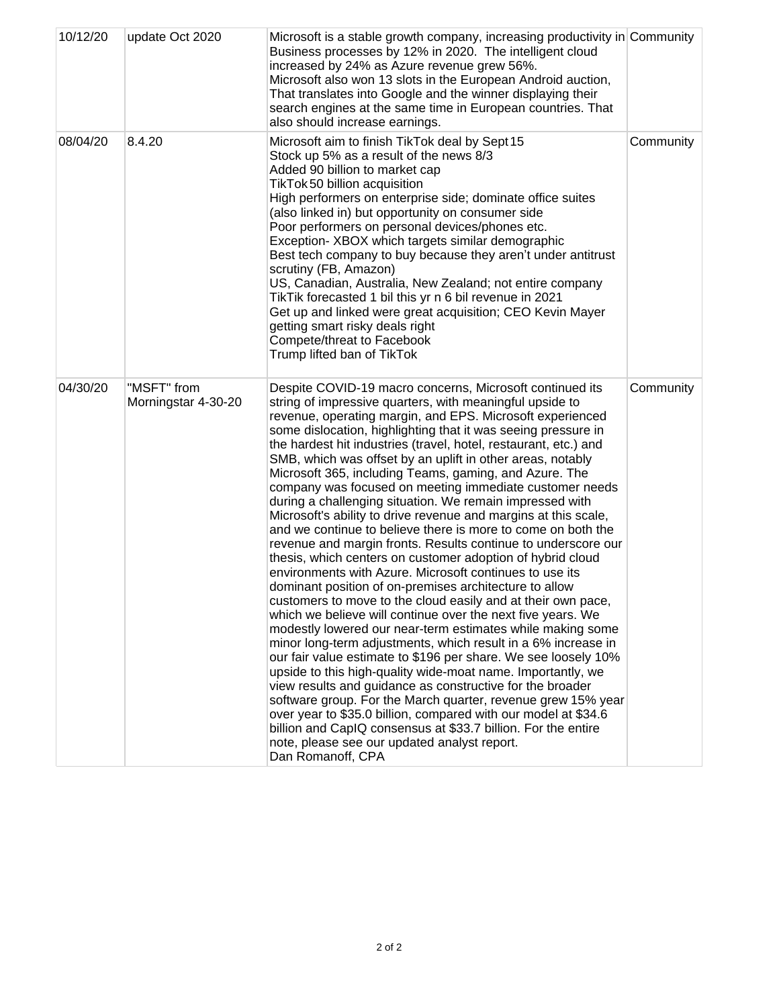| 10/12/20 | update Oct 2020                    | Microsoft is a stable growth company, increasing productivity in Community<br>Business processes by 12% in 2020. The intelligent cloud<br>increased by 24% as Azure revenue grew 56%.<br>Microsoft also won 13 slots in the European Android auction,<br>That translates into Google and the winner displaying their<br>search engines at the same time in European countries. That<br>also should increase earnings.                                                                                                                                                                                                                                                                                                                                                                                                                                                                                                                                                                                                                                                                                                                                                                                                                                                                                                                                                                                                                                                                                                                                                                                                                                                                            |           |
|----------|------------------------------------|--------------------------------------------------------------------------------------------------------------------------------------------------------------------------------------------------------------------------------------------------------------------------------------------------------------------------------------------------------------------------------------------------------------------------------------------------------------------------------------------------------------------------------------------------------------------------------------------------------------------------------------------------------------------------------------------------------------------------------------------------------------------------------------------------------------------------------------------------------------------------------------------------------------------------------------------------------------------------------------------------------------------------------------------------------------------------------------------------------------------------------------------------------------------------------------------------------------------------------------------------------------------------------------------------------------------------------------------------------------------------------------------------------------------------------------------------------------------------------------------------------------------------------------------------------------------------------------------------------------------------------------------------------------------------------------------------|-----------|
| 08/04/20 | 8.4.20                             | Microsoft aim to finish TikTok deal by Sept 15<br>Stock up 5% as a result of the news 8/3<br>Added 90 billion to market cap<br>TikTok 50 billion acquisition<br>High performers on enterprise side; dominate office suites<br>(also linked in) but opportunity on consumer side<br>Poor performers on personal devices/phones etc.<br>Exception- XBOX which targets similar demographic<br>Best tech company to buy because they aren't under antitrust<br>scrutiny (FB, Amazon)<br>US, Canadian, Australia, New Zealand; not entire company<br>TikTik forecasted 1 bil this yr n 6 bil revenue in 2021<br>Get up and linked were great acquisition; CEO Kevin Mayer<br>getting smart risky deals right<br>Compete/threat to Facebook<br>Trump lifted ban of TikTok                                                                                                                                                                                                                                                                                                                                                                                                                                                                                                                                                                                                                                                                                                                                                                                                                                                                                                                              | Community |
| 04/30/20 | "MSFT" from<br>Morningstar 4-30-20 | Despite COVID-19 macro concerns, Microsoft continued its<br>string of impressive quarters, with meaningful upside to<br>revenue, operating margin, and EPS. Microsoft experienced<br>some dislocation, highlighting that it was seeing pressure in<br>the hardest hit industries (travel, hotel, restaurant, etc.) and<br>SMB, which was offset by an uplift in other areas, notably<br>Microsoft 365, including Teams, gaming, and Azure. The<br>company was focused on meeting immediate customer needs<br>during a challenging situation. We remain impressed with<br>Microsoft's ability to drive revenue and margins at this scale,<br>and we continue to believe there is more to come on both the<br>revenue and margin fronts. Results continue to underscore our<br>thesis, which centers on customer adoption of hybrid cloud<br>environments with Azure. Microsoft continues to use its<br>dominant position of on-premises architecture to allow<br>customers to move to the cloud easily and at their own pace,<br>which we believe will continue over the next five years. We<br>modestly lowered our near-term estimates while making some<br>minor long-term adjustments, which result in a 6% increase in<br>our fair value estimate to \$196 per share. We see loosely 10%<br>upside to this high-quality wide-moat name. Importantly, we<br>view results and guidance as constructive for the broader<br>software group. For the March quarter, revenue grew 15% year<br>over year to \$35.0 billion, compared with our model at \$34.6<br>billion and CapIQ consensus at \$33.7 billion. For the entire<br>note, please see our updated analyst report.<br>Dan Romanoff, CPA | Community |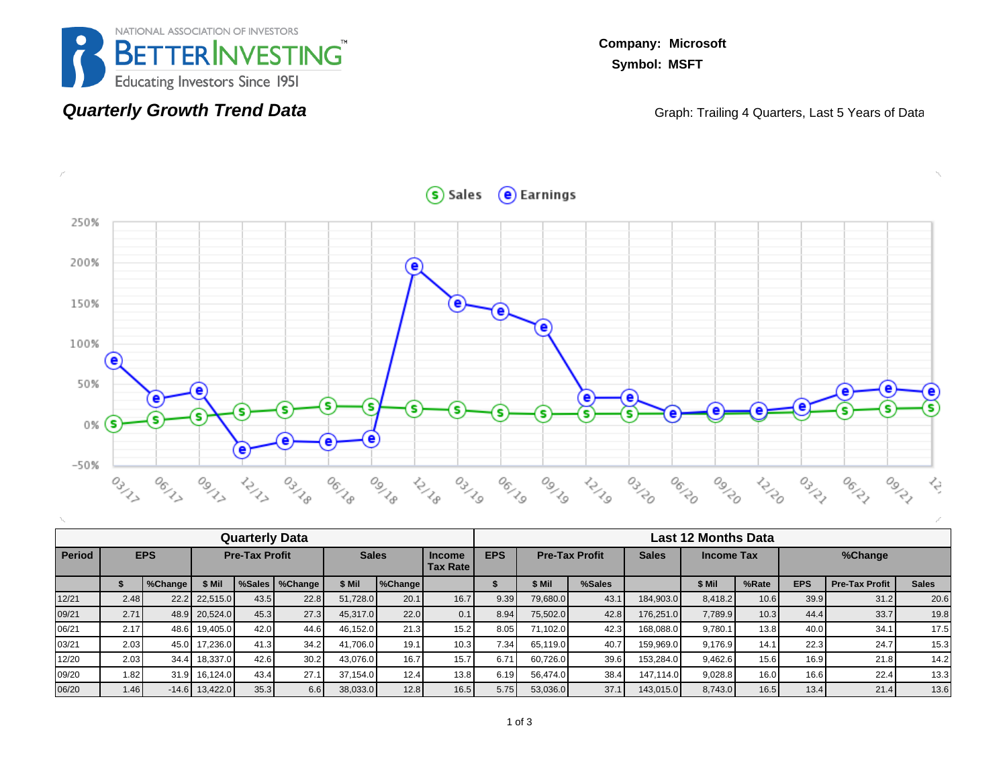

### **Quarterly Growth Trend Data**

**Company: Microsoft Symbol: MSFT**

Graph: Trailing 4 Quarters, Last 5 Years of Data



|        |                                     |      |                  | <b>Quarterly Data</b> |        |              |      |                                    |                                                                          |          |      |           | Last 12 Months Data |            |                       |              |      |
|--------|-------------------------------------|------|------------------|-----------------------|--------|--------------|------|------------------------------------|--------------------------------------------------------------------------|----------|------|-----------|---------------------|------------|-----------------------|--------------|------|
| Period | <b>EPS</b><br><b>Pre-Tax Profit</b> |      |                  |                       |        | <b>Sales</b> |      | <b>Income</b><br><b>Tax Rate I</b> | <b>EPS</b><br><b>Pre-Tax Profit</b><br><b>Sales</b><br><b>Income Tax</b> |          |      |           |                     |            | %Change               |              |      |
|        | \$ Mil<br>%Change<br>%Sales         |      |                  | %Change               | \$ Mil | %Change      |      |                                    | \$ Mil                                                                   | %Sales   |      | \$ Mil    | %Rate               | <b>EPS</b> | <b>Pre-Tax Profit</b> | <b>Sales</b> |      |
| 12/21  | 2.48                                |      | 22.2 22,515.0    | 43.5                  | 22.8   | 51.728.0     | 20.1 | 16.7                               | 9.39                                                                     | 79,680.0 | 43.1 | 184,903.0 | 8.418.2             | 10.6       | 39.9                  | 31.2         | 20.6 |
| 09/21  | 2.71                                |      | 48.9 20,524.0    | 45.3                  | 27.3   | 45,317.0     | 22.0 | 0.1                                | 8.94                                                                     | 75,502.0 | 42.8 | 176.251.0 | 7,789.9             | 10.3       | 44.4                  | 33.7         | 19.8 |
| 06/21  | 2.17                                | 48.6 | 19.405.0         | 42.0                  | 44.6   | 46.152.0     | 21.3 | 15.2                               | 8.05                                                                     | 71.102.0 | 42.3 | 168,088.0 | 9.780.1             | 13.8       | 40.0                  | 34.1         | 17.5 |
| 03/21  | 2.03                                | 45.0 | 17.236.0         | 41.3                  | 34.2   | 41.706.0     | 19.1 | 10.3                               | 7.34                                                                     | 65.119.0 | 40.7 | 159,969.0 | 9.176.9             | 14.1       | 22.3                  | 24.7         | 15.3 |
| 12/20  | 2.03                                | 34.4 | 18,337.0         | 42.6                  | 30.2   | 43.076.0     | 16.7 | 15.7                               | 6.71                                                                     | 60.726.0 | 39.6 | 153.284.0 | 9.462.6             | 15.6       | 16.9                  | 21.8         | 14.2 |
| 09/20  | 1.82                                |      | 31.9 16.124.0    | 43.4                  | 27.1   | 37.154.0     | 12.4 | 13.8                               | 6.19                                                                     | 56,474.0 | 38.4 | 147.114.0 | 9,028.8             | 16.0       | 16.6                  | 22.4         | 13.3 |
| 06/20  | 1.46                                |      | $-14.6$ 13,422.0 | 35.3                  | 6.6    | 38,033.0     | 12.8 | 16.5                               | 5.75                                                                     | 53,036.0 | 37.1 | 143,015.0 | 8,743.0             | 16.5       | 13.4                  | 21.4         | 13.6 |

Sales e Earnings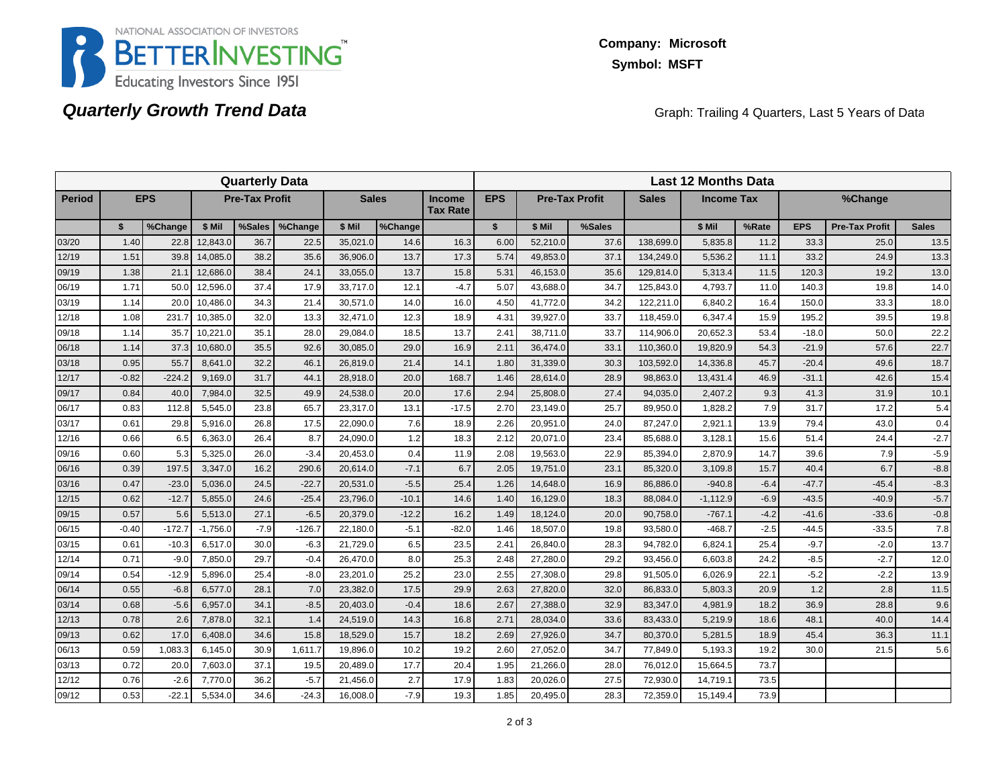

## **Quarterly Growth Trend Data**

Graph: Trailing 4 Quarters, Last 5 Years of Data

|               | <b>Quarterly Data</b> |            |            |                       |          |              |         |                                  |              | <b>Last 12 Months Data</b> |                       |              |                   |        |            |                       |              |  |  |
|---------------|-----------------------|------------|------------|-----------------------|----------|--------------|---------|----------------------------------|--------------|----------------------------|-----------------------|--------------|-------------------|--------|------------|-----------------------|--------------|--|--|
| <b>Period</b> |                       | <b>EPS</b> |            | <b>Pre-Tax Profit</b> |          | <b>Sales</b> |         | <b>Income</b><br><b>Tax Rate</b> | <b>EPS</b>   |                            | <b>Pre-Tax Profit</b> | <b>Sales</b> | <b>Income Tax</b> |        |            | %Change               |              |  |  |
|               | \$                    | %Change    | \$ Mil     | %Sales                | %Change  | \$ Mil       | %Change |                                  | $\mathbf{s}$ | \$ Mil                     | %Sales                |              | \$ Mil            | %Rate  | <b>EPS</b> | <b>Pre-Tax Profit</b> | <b>Sales</b> |  |  |
| 03/20         | 1.40                  | 22.8       | 12,843.0   | 36.7                  | 22.5     | 35,021.0     | 14.6    | 16.3                             | 6.00         | 52,210.0                   | 37.6                  | 138,699.0    | 5,835.8           | 11.2   | 33.3       | 25.0                  | 13.5         |  |  |
| 12/19         | 1.51                  | 39.8       | 14,085.0   | 38.2                  | 35.6     | 36,906.0     | 13.7    | 17.3                             | 5.74         | 49,853.0                   | 37.1                  | 134,249.0    | 5,536.2           | 11.1   | 33.2       | 24.9                  | 13.3         |  |  |
| 09/19         | 1.38                  | 21.1       | 12.686.0   | 38.4                  | 24.1     | 33,055.0     | 13.7    | 15.8                             | 5.31         | 46.153.0                   | 35.6                  | 129,814.0    | 5,313.4           | 11.5   | 120.3      | 19.2                  | 13.0         |  |  |
| 06/19         | 1.71                  | 50.0       | 12,596.0   | 37.4                  | 17.9     | 33,717.0     | 12.1    | $-4.7$                           | 5.07         | 43.688.0                   | 34.7                  | 125,843.0    | 4,793.7           | 11.0   | 140.3      | 19.8                  | 14.0         |  |  |
| 03/19         | 1.14                  | 20.0       | 10,486.0   | 34.3                  | 21.4     | 30,571.0     | 14.0    | 16.0                             | 4.50         | 41,772.0                   | 34.2                  | 122,211.0    | 6,840.2           | 16.4   | 150.0      | 33.3                  | 18.0         |  |  |
| 12/18         | 1.08                  | 231.7      | 10,385.0   | 32.0                  | 13.3     | 32,471.0     | 12.3    | 18.9                             | 4.31         | 39,927.0                   | 33.7                  | 118,459.0    | 6,347.4           | 15.9   | 195.2      | 39.5                  | 19.8         |  |  |
| 09/18         | 1.14                  | 35.7       | 10,221.0   | 35.1                  | 28.0     | 29,084.0     | 18.5    | 13.7                             | 2.41         | 38,711.0                   | 33.7                  | 114,906.0    | 20,652.3          | 53.4   | $-18.0$    | 50.0                  | 22.2         |  |  |
| 06/18         | 1.14                  | 37.3       | 10,680.0   | 35.5                  | 92.6     | 30,085.0     | 29.0    | 16.9                             | 2.11         | 36,474.0                   | 33.1                  | 110,360.0    | 19,820.9          | 54.3   | $-21.9$    | 57.6                  | 22.7         |  |  |
| 03/18         | 0.95                  | 55.7       | 8,641.0    | 32.2                  | 46.1     | 26,819.0     | 21.4    | 14.1                             | 1.80         | 31,339.0                   | 30.3                  | 103,592.0    | 14,336.8          | 45.7   | $-20.4$    | 49.6                  | 18.7         |  |  |
| 12/17         | $-0.82$               | $-224.2$   | 9,169.0    | 31.7                  | 44.1     | 28,918.0     | 20.0    | 168.7                            | 1.46         | 28,614.0                   | 28.9                  | 98,863.0     | 13,431.4          | 46.9   | $-31.1$    | 42.6                  | 15.4         |  |  |
| 09/17         | 0.84                  | 40.0       | 7,984.0    | 32.5                  | 49.9     | 24,538.0     | 20.0    | 17.6                             | 2.94         | 25,808.0                   | 27.4                  | 94,035.0     | 2,407.2           | 9.3    | 41.3       | 31.9                  | 10.1         |  |  |
| 06/17         | 0.83                  | 112.8      | 5,545.0    | 23.8                  | 65.7     | 23,317.0     | 13.1    | $-17.5$                          | 2.70         | 23,149.0                   | 25.7                  | 89,950.0     | 1,828.2           | 7.9    | 31.7       | 17.2                  | 5.4          |  |  |
| 03/17         | 0.61                  | 29.8       | 5,916.0    | 26.8                  | 17.5     | 22.090.0     | 7.6     | 18.9                             | 2.26         | 20.951.0                   | 24.0                  | 87,247.0     | 2,921.1           | 13.9   | 79.4       | 43.0                  | 0.4          |  |  |
| 12/16         | 0.66                  | 6.5        | 6,363.0    | 26.4                  | 8.7      | 24,090.0     | 1.2     | 18.3                             | 2.12         | 20,071.0                   | 23.4                  | 85,688.0     | 3,128.1           | 15.6   | 51.4       | 24.4                  | $-2.7$       |  |  |
| 09/16         | 0.60                  | 5.3        | 5,325.0    | 26.0                  | $-3.4$   | 20,453.0     | 0.4     | 11.9                             | 2.08         | 19,563.0                   | 22.9                  | 85,394.0     | 2,870.9           | 14.7   | 39.6       | 7.9                   | $-5.9$       |  |  |
| 06/16         | 0.39                  | 197.5      | 3,347.0    | 16.2                  | 290.6    | 20,614.0     | $-7.1$  | 6.7                              | 2.05         | 19,751.0                   | 23.1                  | 85,320.0     | 3,109.8           | 15.7   | 40.4       | 6.7                   | $-8.8$       |  |  |
| 03/16         | 0.47                  | $-23.0$    | 5,036.0    | 24.5                  | $-22.7$  | 20,531.0     | $-5.5$  | 25.4                             | 1.26         | 14,648.0                   | 16.9                  | 86,886.0     | $-940.8$          | $-6.4$ | $-47.7$    | $-45.4$               | $-8.3$       |  |  |
| 12/15         | 0.62                  | $-12.7$    | 5,855.0    | 24.6                  | $-25.4$  | 23,796.0     | $-10.1$ | 14.6                             | 1.40         | 16,129.0                   | 18.3                  | 88,084.0     | $-1,112.9$        | $-6.9$ | $-43.5$    | $-40.9$               | $-5.7$       |  |  |
| 09/15         | 0.57                  | 5.6        | 5,513.0    | 27.1                  | $-6.5$   | 20,379.0     | $-12.2$ | 16.2                             | 1.49         | 18,124.0                   | 20.0                  | 90,758.0     | $-767.1$          | $-4.2$ | $-41.6$    | $-33.6$               | $-0.8$       |  |  |
| 06/15         | $-0.40$               | $-172.7$   | $-1.756.0$ | $-7.9$                | $-126.7$ | 22.180.0     | $-5.1$  | $-82.0$                          | 1.46         | 18.507.0                   | 19.8                  | 93,580.0     | $-468.7$          | $-2.5$ | $-44.5$    | $-33.5$               | 7.8          |  |  |
| 03/15         | 0.61                  | $-10.3$    | 6,517.0    | 30.0                  | $-6.3$   | 21,729.0     | 6.5     | 23.5                             | 2.41         | 26,840.0                   | 28.3                  | 94,782.0     | 6,824.1           | 25.4   | $-9.7$     | $-2.0$                | 13.7         |  |  |
| 12/14         | 0.71                  | $-9.0$     | 7,850.0    | 29.7                  | $-0.4$   | 26,470.0     | 8.0     | 25.3                             | 2.48         | 27,280.0                   | 29.2                  | 93,456.0     | 6,603.8           | 24.2   | $-8.5$     | $-2.7$                | 12.0         |  |  |
| 09/14         | 0.54                  | $-12.9$    | 5,896.0    | 25.4                  | $-8.0$   | 23,201.0     | 25.2    | 23.0                             | 2.55         | 27,308.0                   | 29.8                  | 91,505.0     | 6,026.9           | 22.1   | $-5.2$     | $-2.2$                | 13.9         |  |  |
| 06/14         | 0.55                  | $-6.8$     | 6,577.0    | 28.1                  | 7.0      | 23,382.0     | 17.5    | 29.9                             | 2.63         | 27,820.0                   | 32.0                  | 86,833.0     | 5,803.3           | 20.9   | 1.2        | 2.8                   | 11.5         |  |  |
| 03/14         | 0.68                  | $-5.6$     | 6,957.0    | 34.1                  | $-8.5$   | 20,403.0     | $-0.4$  | 18.6                             | 2.67         | 27,388.0                   | 32.9                  | 83,347.0     | 4,981.9           | 18.2   | 36.9       | 28.8                  | 9.6          |  |  |
| 12/13         | 0.78                  | 2.6        | 7,878.0    | 32.1                  | 1.4      | 24,519.0     | 14.3    | 16.8                             | 2.71         | 28,034.0                   | 33.6                  | 83,433.0     | 5,219.9           | 18.6   | 48.1       | 40.0                  | 14.4         |  |  |
| 09/13         | 0.62                  | 17.0       | 6.408.0    | 34.6                  | 15.8     | 18,529.0     | 15.7    | 18.2                             | 2.69         | 27,926.0                   | 34.7                  | 80,370.0     | 5,281.5           | 18.9   | 45.4       | 36.3                  | 11.1         |  |  |
| 06/13         | 0.59                  | 1,083.3    | 6.145.0    | 30.9                  | 1,611.7  | 19,896.0     | 10.2    | 19.2                             | 2.60         | 27,052.0                   | 34.7                  | 77,849.0     | 5,193.3           | 19.2   | 30.0       | 21.5                  | 5.6          |  |  |
| 03/13         | 0.72                  | 20.0       | 7,603.0    | 37.1                  | 19.5     | 20,489.0     | 17.7    | 20.4                             | 1.95         | 21,266.0                   | 28.0                  | 76,012.0     | 15,664.5          | 73.7   |            |                       |              |  |  |
| 12/12         | 0.76                  | $-2.6$     | 7.770.0    | 36.2                  | $-5.7$   | 21,456.0     | 2.7     | 17.9                             | 1.83         | 20,026.0                   | 27.5                  | 72,930.0     | 14,719.1          | 73.5   |            |                       |              |  |  |
| 09/12         | 0.53                  | $-22.1$    | 5,534.0    | 34.6                  | $-24.3$  | 16,008.0     | $-7.9$  | 19.3                             | 1.85         | 20,495.0                   | 28.3                  | 72,359.0     | 15,149.4          | 73.9   |            |                       |              |  |  |